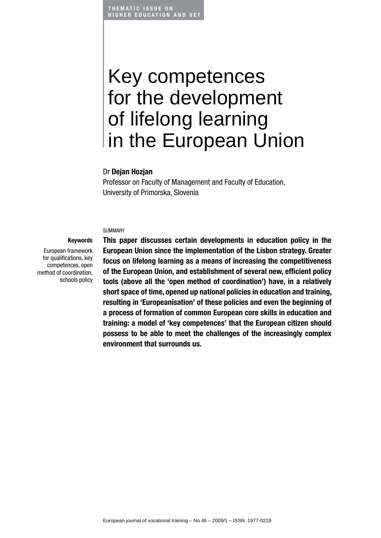THEMATIC ISSUE ON **HIGHER EDUCATION AND VET** 

# Key competences for the development of lifelong learning in the European Union

#### Dr Deian Hozian

Professor on Faculty of Management and Faculty of Education, University of Primorska, Slovenia

#### SUMMARY

European framework for qualifications, key competences, open method of coordination, schools policy

Keywords

This paper discusses certain developments in education policy in the European Union since the implementation of the Lisbon strategy. Greater focus on lifelong learning as a means of increasing the competitiveness of the European Union, and establishment of several new, efficient policy tools (above all the 'open method of coordination') have, in a relatively short space of time, opened up national policies in education and training, resulting in 'Europeanisation' of these policies and even the beginning of a process of formation of common European core skills in education and training: a model of 'key competences' that the European citizen should possess to be able to meet the challenges of the increasingly complex environment that surrounds us.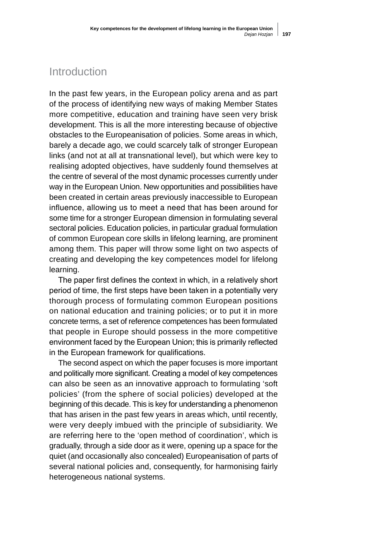# Introduction

In the past few years, in the European policy arena and as part of the process of identifying new ways of making Member States more competitive, education and training have seen very brisk development. This is all the more interesting because of objective obstacles to the Europeanisation of policies. Some areas in which, barely a decade ago, we could scarcely talk of stronger European links (and not at all at transnational level), but which were key to realising adopted objectives, have suddenly found themselves at the centre of several of the most dynamic processes currently under way in the European Union. New opportunities and possibilities have been created in certain areas previously inaccessible to European influence, allowing us to meet a need that has been around for some time for a stronger European dimension in formulating several sectoral policies. Education policies, in particular gradual formulation of common European core skills in lifelong learning, are prominent among them. This paper will throw some light on two aspects of creating and developing the key competences model for lifelong learning.

The paper first defines the context in which, in a relatively short period of time, the first steps have been taken in a potentially very thorough process of formulating common European positions on national education and training policies; or to put it in more concrete terms, a set of reference competences has been formulated that people in Europe should possess in the more competitive environment faced by the European Union; this is primarily reflected in the European framework for qualifications.

The second aspect on which the paper focuses is more important and politically more significant. Creating a model of key competences can also be seen as an innovative approach to formulating 'soft policies' (from the sphere of social policies) developed at the beginning of this decade. This is key for understanding a phenomenon that has arisen in the past few years in areas which, until recently, were very deeply imbued with the principle of subsidiarity. We are referring here to the 'open method of coordination', which is gradually, through a side door as it were, opening up a space for the quiet (and occasionally also concealed) Europeanisation of parts of several national policies and, consequently, for harmonising fairly heterogeneous national systems.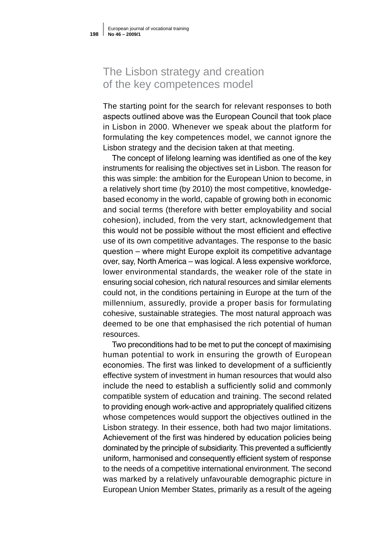# The Lisbon strategy and creation of the key competences model

The starting point for the search for relevant responses to both aspects outlined above was the European Council that took place in Lisbon in 2000. Whenever we speak about the platform for formulating the key competences model, we cannot ignore the Lisbon strategy and the decision taken at that meeting.

The concept of lifelong learning was identified as one of the key instruments for realising the objectives set in Lisbon. The reason for this was simple: the ambition for the European Union to become, in a relatively short time (by 2010) the most competitive, knowledgebased economy in the world, capable of growing both in economic and social terms (therefore with better employability and social cohesion), included, from the very start, acknowledgement that this would not be possible without the most efficient and effective use of its own competitive advantages. The response to the basic question – where might Europe exploit its competitive advantage over, say, North America – was logical. A less expensive workforce, lower environmental standards, the weaker role of the state in ensuring social cohesion, rich natural resources and similar elements could not, in the conditions pertaining in Europe at the turn of the millennium, assuredly, provide a proper basis for formulating cohesive, sustainable strategies. The most natural approach was deemed to be one that emphasised the rich potential of human resources.

Two preconditions had to be met to put the concept of maximising human potential to work in ensuring the growth of European economies. The first was linked to development of a sufficiently effective system of investment in human resources that would also include the need to establish a sufficiently solid and commonly compatible system of education and training. The second related to providing enough work-active and appropriately qualified citizens whose competences would support the objectives outlined in the Lisbon strategy. In their essence, both had two major limitations. Achievement of the first was hindered by education policies being dominated by the principle of subsidiarity. This prevented a sufficiently uniform, harmonised and consequently efficient system of response to the needs of a competitive international environment. The second was marked by a relatively unfavourable demographic picture in European Union Member States, primarily as a result of the ageing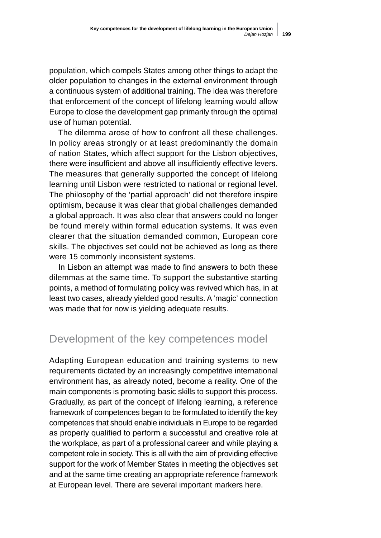population, which compels States among other things to adapt the older population to changes in the external environment through a continuous system of additional training. The idea was therefore that enforcement of the concept of lifelong learning would allow Europe to close the development gap primarily through the optimal use of human potential.

The dilemma arose of how to confront all these challenges. In policy areas strongly or at least predominantly the domain of nation States, which affect support for the Lisbon objectives, there were insufficient and above all insufficiently effective levers. The measures that generally supported the concept of lifelong learning until Lisbon were restricted to national or regional level. The philosophy of the 'partial approach' did not therefore inspire optimism, because it was clear that global challenges demanded a global approach. It was also clear that answers could no longer be found merely within formal education systems. It was even clearer that the situation demanded common, European core skills. The objectives set could not be achieved as long as there were 15 commonly inconsistent systems.

In Lisbon an attempt was made to find answers to both these dilemmas at the same time. To support the substantive starting points, a method of formulating policy was revived which has, in at least two cases, already yielded good results. A 'magic' connection was made that for now is yielding adequate results.

### Development of the key competences model

Adapting European education and training systems to new requirements dictated by an increasingly competitive international environment has, as already noted, become a reality. One of the main components is promoting basic skills to support this process. Gradually, as part of the concept of lifelong learning, a reference framework of competences began to be formulated to identify the key competences that should enable individuals in Europe to be regarded as properly qualified to perform a successful and creative role at the workplace, as part of a professional career and while playing a competent role in society. This is all with the aim of providing effective support for the work of Member States in meeting the objectives set and at the same time creating an appropriate reference framework at European level. There are several important markers here.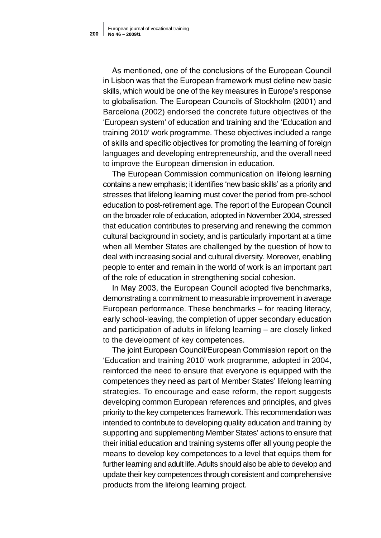As mentioned, one of the conclusions of the European Council in Lisbon was that the European framework must define new basic skills, which would be one of the key measures in Europe's response to globalisation. The European Councils of Stockholm (2001) and Barcelona (2002) endorsed the concrete future objectives of the 'European system' of education and training and the 'Education and training 2010' work programme. These objectives included a range of skills and specific objectives for promoting the learning of foreign languages and developing entrepreneurship, and the overall need to improve the European dimension in education.

The European Commission communication on lifelong learning contains a new emphasis; it identifies 'new basic skills' as a priority and stresses that lifelong learning must cover the period from pre-school education to post-retirement age. The report of the European Council on the broader role of education, adopted in November 2004, stressed that education contributes to preserving and renewing the common cultural background in society, and is particularly important at a time when all Member States are challenged by the question of how to deal with increasing social and cultural diversity. Moreover, enabling people to enter and remain in the world of work is an important part of the role of education in strengthening social cohesion.

In May 2003, the European Council adopted five benchmarks, demonstrating a commitment to measurable improvement in average European performance. These benchmarks – for reading literacy, early school-leaving, the completion of upper secondary education and participation of adults in lifelong learning – are closely linked to the development of key competences.

The joint European Council/European Commission report on the 'Education and training 2010' work programme, adopted in 2004, reinforced the need to ensure that everyone is equipped with the competences they need as part of Member States' lifelong learning strategies. To encourage and ease reform, the report suggests developing common European references and principles, and gives priority to the key competences framework. This recommendation was intended to contribute to developing quality education and training by supporting and supplementing Member States' actions to ensure that their initial education and training systems offer all young people the means to develop key competences to a level that equips them for further learning and adult life. Adults should also be able to develop and update their key competences through consistent and comprehensive products from the lifelong learning project.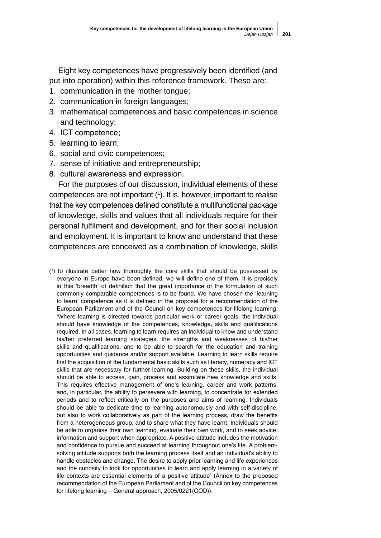Eight key competences have progressively been identified (and put into operation) within this reference framework. These are:

- 1. communication in the mother tongue;
- 2. communication in foreign languages;
- 3. mathematical competences and basic competences in science and technology;
- 4. ICT competence;
- 5. learning to learn;
- 6. social and civic competences;
- 7. sense of initiative and entrepreneurship;
- 8. cultural awareness and expression.

For the purposes of our discussion, individual elements of these competences are not important (1 ). It is, however, important to realise that the key competences defined constitute a multifunctional package of knowledge, skills and values that all individuals require for their personal fulfilment and development, and for their social inclusion and employment. It is important to know and understand that these competences are conceived as a combination of knowledge, skills

<sup>(1</sup> ) To illustrate better how thoroughly the core skills that should be possessed by everyone in Europe have been defined, we will define one of them. It is precisely in this 'breadth' of definition that the great importance of the formulation of such commonly comparable competences is to be found. We have chosen the 'learning to learn' competence as it is defined in the proposal for a recommendation of the European Parliament and of the Council on key competences for lifelong learning: 'Where learning is directed towards particular work or career goals, the individual should have knowledge of the competences, knowledge, skills and qualifications required. In all cases, learning to learn requires an individual to know and understand his/her preferred learning strategies, the strengths and weaknesses of his/her skills and qualifications, and to be able to search for the education and training opportunities and guidance and/or support available. Learning to learn skills require first the acquisition of the fundamental basic skills such as literacy, numeracy and ICT skills that are necessary for further learning. Building on these skills, the individual should be able to access, gain, process and assimilate new knowledge and skills. This requires effective management of one's learning, career and work patterns, and, in particular, the ability to persevere with learning, to concentrate for extended periods and to reflect critically on the purposes and aims of learning. Individuals should be able to dedicate time to learning autonomously and with self-discipline, but also to work collaboratively as part of the learning process, draw the benefits from a heterogeneous group, and to share what they have learnt. Individuals should be able to organise their own learning, evaluate their own work, and to seek advice, information and support when appropriate. A positive attitude includes the motivation and confidence to pursue and succeed at learning throughout one's life. A problemsolving attitude supports both the learning process itself and an individual's ability to handle obstacles and change. The desire to apply prior learning and life experiences and the curiosity to look for opportunities to learn and apply learning in a variety of life contexts are essential elements of a positive attitude' (Annex to the proposed recommendation of the European Parliament and of the Council on key competences for lifelong learning – General approach, 2005/0221(COD)).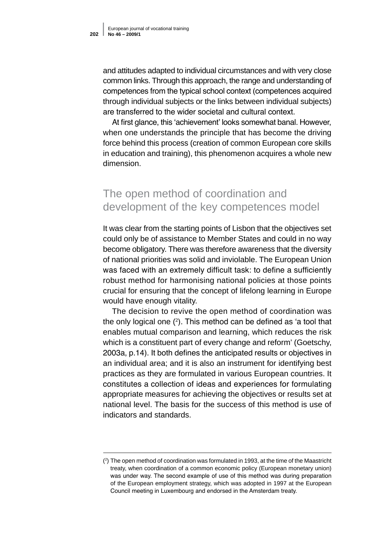and attitudes adapted to individual circumstances and with very close common links. Through this approach, the range and understanding of competences from the typical school context (competences acquired through individual subjects or the links between individual subjects) are transferred to the wider societal and cultural context.

At first glance, this 'achievement' looks somewhat banal. However, when one understands the principle that has become the driving force behind this process (creation of common European core skills in education and training), this phenomenon acquires a whole new dimension.

## The open method of coordination and development of the key competences model

It was clear from the starting points of Lisbon that the objectives set could only be of assistance to Member States and could in no way become obligatory. There was therefore awareness that the diversity of national priorities was solid and inviolable. The European Union was faced with an extremely difficult task: to define a sufficiently robust method for harmonising national policies at those points crucial for ensuring that the concept of lifelong learning in Europe would have enough vitality.

The decision to revive the open method of coordination was the only logical one  $(2)$ . This method can be defined as 'a tool that enables mutual comparison and learning, which reduces the risk which is a constituent part of every change and reform' (Goetschy, 2003a, p.14). It both defines the anticipated results or objectives in an individual area; and it is also an instrument for identifying best practices as they are formulated in various European countries. It constitutes a collection of ideas and experiences for formulating appropriate measures for achieving the objectives or results set at national level. The basis for the success of this method is use of indicators and standards.

<sup>(2</sup> ) The open method of coordination was formulated in 1993, at the time of the Maastricht treaty, when coordination of a common economic policy (European monetary union) was under way. The second example of use of this method was during preparation of the European employment strategy, which was adopted in 1997 at the European Council meeting in Luxembourg and endorsed in the Amsterdam treaty.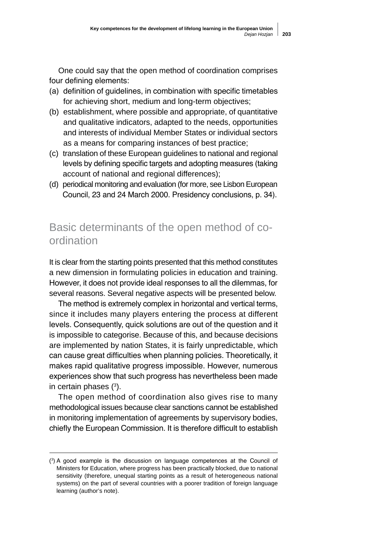One could say that the open method of coordination comprises four defining elements:

- (a) definition of guidelines, in combination with specific timetables for achieving short, medium and long-term objectives;
- (b) establishment, where possible and appropriate, of quantitative and qualitative indicators, adapted to the needs, opportunities and interests of individual Member States or individual sectors as a means for comparing instances of best practice;
- (c) translation of these European guidelines to national and regional levels by defining specific targets and adopting measures (taking account of national and regional differences);
- (d) periodical monitoring and evaluation (for more, see Lisbon European Council, 23 and 24 March 2000. Presidency conclusions, p. 34).

# Basic determinants of the open method of coordination

It is clear from the starting points presented that this method constitutes a new dimension in formulating policies in education and training. However, it does not provide ideal responses to all the dilemmas, for several reasons. Several negative aspects will be presented below.

The method is extremely complex in horizontal and vertical terms, since it includes many players entering the process at different levels. Consequently, quick solutions are out of the question and it is impossible to categorise. Because of this, and because decisions are implemented by nation States, it is fairly unpredictable, which can cause great difficulties when planning policies. Theoretically, it makes rapid qualitative progress impossible. However, numerous experiences show that such progress has nevertheless been made in certain phases  $(3)$ .

The open method of coordination also gives rise to many methodological issues because clear sanctions cannot be established in monitoring implementation of agreements by supervisory bodies, chiefly the European Commission. It is therefore difficult to establish

<sup>(3</sup> ) A good example is the discussion on language competences at the Council of Ministers for Education, where progress has been practically blocked, due to national sensitivity (therefore, unequal starting points as a result of heterogeneous national systems) on the part of several countries with a poorer tradition of foreign language learning (author's note).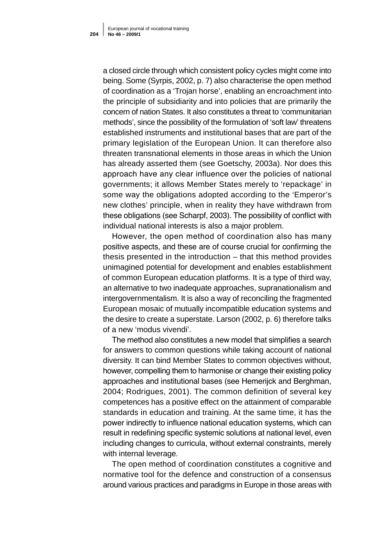a closed circle through which consistent policy cycles might come into being. Some (Syrpis, 2002, p. 7) also characterise the open method of coordination as a 'Trojan horse', enabling an encroachment into the principle of subsidiarity and into policies that are primarily the concern of nation States. It also constitutes a threat to 'communitarian methods', since the possibility of the formulation of 'soft law' threatens established instruments and institutional bases that are part of the primary legislation of the European Union. It can therefore also threaten transnational elements in those areas in which the Union has already asserted them (see Goetschy, 2003a). Nor does this approach have any clear influence over the policies of national governments; it allows Member States merely to 'repackage' in some way the obligations adopted according to the 'Emperor's new clothes' principle, when in reality they have withdrawn from these obligations (see Scharpf, 2003). The possibility of conflict with individual national interests is also a major problem.

However, the open method of coordination also has many positive aspects, and these are of course crucial for confirming the thesis presented in the introduction – that this method provides unimagined potential for development and enables establishment of common European education platforms. It is a type of third way, an alternative to two inadequate approaches, supranationalism and intergovernmentalism. It is also a way of reconciling the fragmented European mosaic of mutually incompatible education systems and the desire to create a superstate. Larson (2002, p. 6) therefore talks of a new 'modus vivendi'.

The method also constitutes a new model that simplifies a search for answers to common questions while taking account of national diversity. It can bind Member States to common objectives without, however, compelling them to harmonise or change their existing policy approaches and institutional bases (see Hemerijck and Berghman, 2004; Rodrigues, 2001). The common definition of several key competences has a positive effect on the attainment of comparable standards in education and training. At the same time, it has the power indirectly to influence national education systems, which can result in redefining specific systemic solutions at national level, even including changes to curricula, without external constraints, merely with internal leverage.

The open method of coordination constitutes a cognitive and normative tool for the defence and construction of a consensus around various practices and paradigms in Europe in those areas with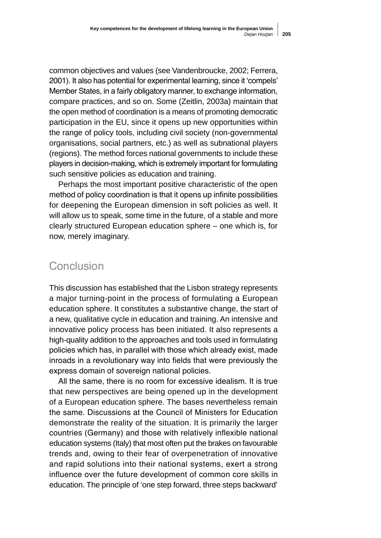common objectives and values (see Vandenbroucke, 2002; Ferrera, 2001). It also has potential for experimental learning, since it 'compels' Member States, in a fairly obligatory manner, to exchange information, compare practices, and so on. Some (Zeitlin, 2003a) maintain that the open method of coordination is a means of promoting democratic participation in the EU, since it opens up new opportunities within the range of policy tools, including civil society (non-governmental organisations, social partners, etc.) as well as subnational players (regions). The method forces national governments to include these players in decision-making, which is extremely important for formulating such sensitive policies as education and training.

Perhaps the most important positive characteristic of the open method of policy coordination is that it opens up infinite possibilities for deepening the European dimension in soft policies as well. It will allow us to speak, some time in the future, of a stable and more clearly structured European education sphere – one which is, for now, merely imaginary.

#### Conclusion

This discussion has established that the Lisbon strategy represents a major turning-point in the process of formulating a European education sphere. It constitutes a substantive change, the start of a new, qualitative cycle in education and training. An intensive and innovative policy process has been initiated. It also represents a high-quality addition to the approaches and tools used in formulating policies which has, in parallel with those which already exist, made inroads in a revolutionary way into fields that were previously the express domain of sovereign national policies.

All the same, there is no room for excessive idealism. It is true that new perspectives are being opened up in the development of a European education sphere. The bases nevertheless remain the same. Discussions at the Council of Ministers for Education demonstrate the reality of the situation. It is primarily the larger countries (Germany) and those with relatively inflexible national education systems (Italy) that most often put the brakes on favourable trends and, owing to their fear of overpenetration of innovative and rapid solutions into their national systems, exert a strong influence over the future development of common core skills in education. The principle of 'one step forward, three steps backward'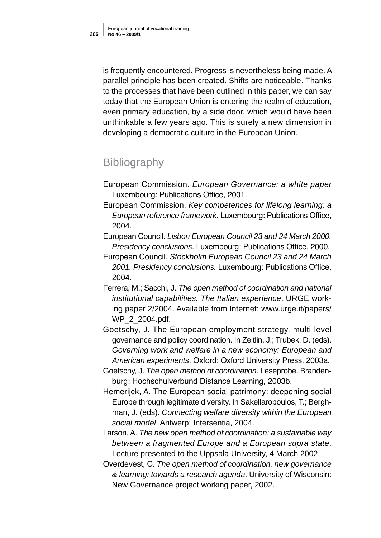is frequently encountered. Progress is nevertheless being made. A parallel principle has been created. Shifts are noticeable. Thanks to the processes that have been outlined in this paper, we can say today that the European Union is entering the realm of education, even primary education, by a side door, which would have been unthinkable a few years ago. This is surely a new dimension in developing a democratic culture in the European Union.

# **Bibliography**

- European Commission. *European Governance: a white paper*  Luxembourg: Publications Office, 2001.
- European Commission. *Key competences for lifelong learning: a European reference framework.* Luxembourg: Publications Office, 2004.
- European Council. *Lisbon European Council 23 and 24 March 2000. Presidency conclusions*. Luxembourg: Publications Office, 2000.
- European Council. *Stockholm European Council 23 and 24 March 2001. Presidency conclusions.* Luxembourg: Publications Office, 2004.
- Ferrera, M.; Sacchi, J. *The open method of coordination and national institutional capabilities. The Italian experience*. URGE working paper 2/2004. Available from Internet: www.urge.it/papers/ WP\_2\_2004.pdf.
- Goetschy, J. The European employment strategy, multi-level governance and policy coordination. In Zeitlin, J.; Trubek, D. (eds). *Governing work and welfare in a new economy: European and American experiments*. Oxford: Oxford University Press, 2003a.
- Goetschy, J. *The open method of coordination*. Leseprobe. Branden burg: Hochschulverbund Distance Learning, 2003b.
- Hemerijck, A. The European social patrimony: deepening social Europe through legitimate diversity. In Sakellaropoulos, T.; Berghman, J. (eds). *Connecting welfare diversity within the European social model*. Antwerp: Intersentia, 2004.
- Larson, A. *The new open method of coordination: a sustainable way between a fragmented Europe and a European supra state*. Lecture presented to the Uppsala University, 4 March 2002.
- Overdevest, C. *The open method of coordination, new governance & learning: towards a research agenda*. University of Wisconsin: New Governance project working paper, 2002.